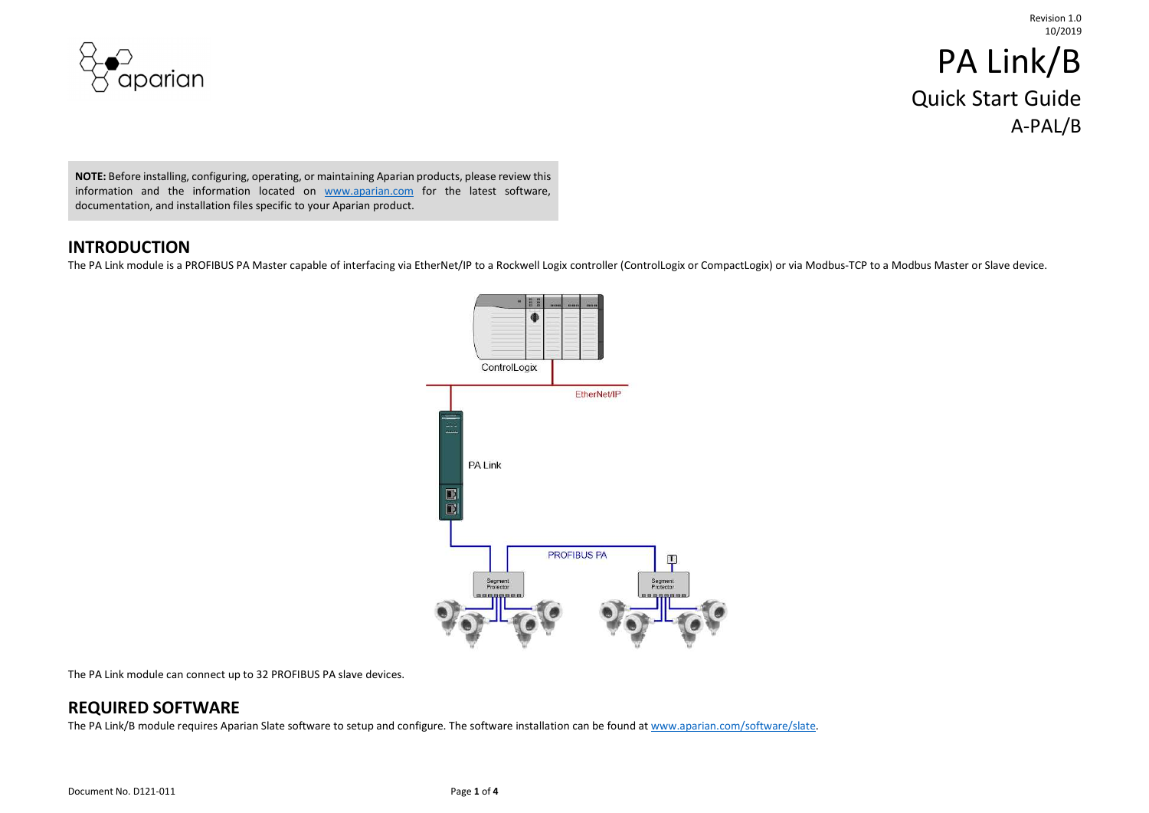

# PA Link/B Quick Start Guide A-PAL/B

NOTE: Before installing, configuring, operating, or maintaining Aparian products, please review this information and the information located on www.aparian.com for the latest software, documentation, and installation files specific to your Aparian product.

#### INTRODUCTION

The PA Link module is a PROFIBUS PA Master capable of interfacing via EtherNet/IP to a Rockwell Logix controller (ControlLogix or CompactLogix) or via Modbus-TCP to a Modbus Master or Slave device.



The PA Link module can connect up to 32 PROFIBUS PA slave devices.

#### REQUIRED SOFTWARE

The PA Link/B module requires Aparian Slate software to setup and configure. The software installation can be found at www.aparian.com/software/slate.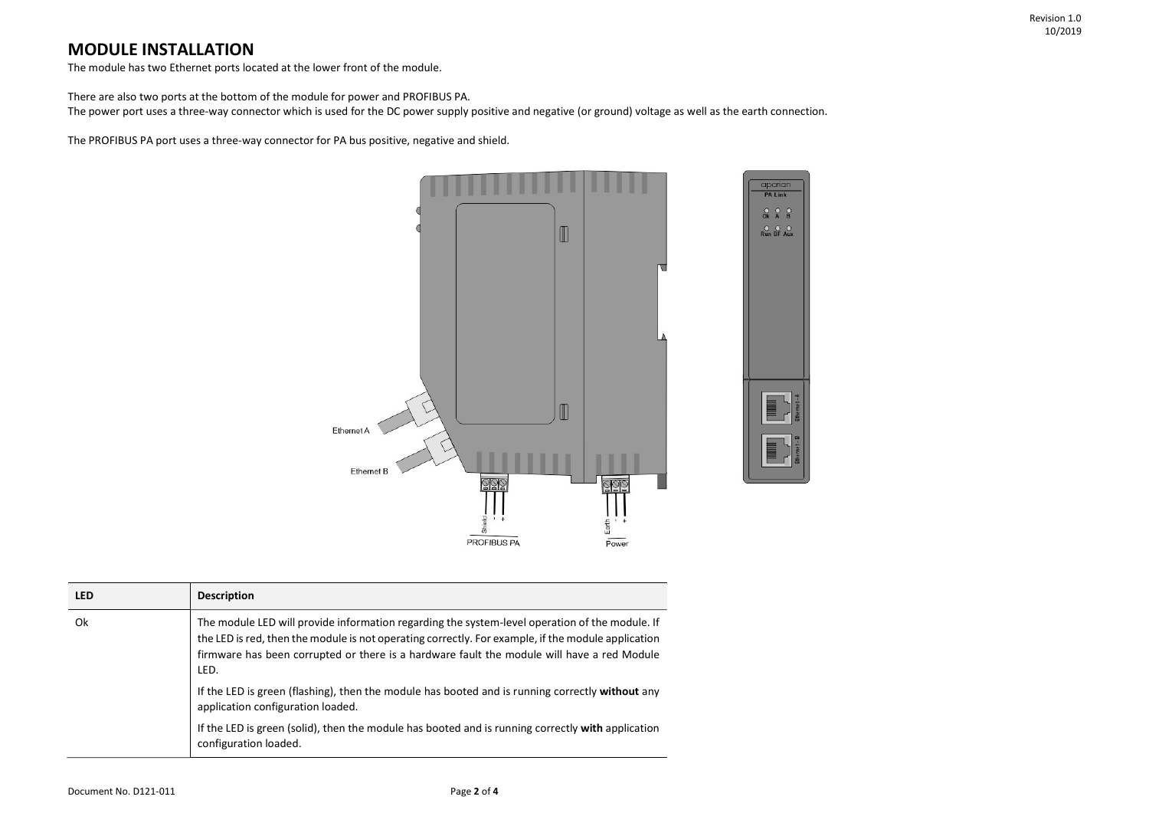### MODULE INSTALLATION

The module has two Ethernet ports located at the lower front of the module.

There are also two ports at the bottom of the module for power and PROFIBUS PA.

The power port uses a three-way connector which is used for the DC power supply positive and negative (or ground) voltage as well as the earth connection.

The PROFIBUS PA port uses a three-way connector for PA bus positive, negative and shield.



| <b>LED</b> | <b>Description</b>                                                                                                                                                                                                                                                                                         |
|------------|------------------------------------------------------------------------------------------------------------------------------------------------------------------------------------------------------------------------------------------------------------------------------------------------------------|
| 0k         | The module LED will provide information regarding the system-level operation of the module. If<br>the LED is red, then the module is not operating correctly. For example, if the module application<br>firmware has been corrupted or there is a hardware fault the module will have a red Module<br>LED. |
|            | If the LED is green (flashing), then the module has booted and is running correctly without any<br>application configuration loaded.                                                                                                                                                                       |
|            | If the LED is green (solid), then the module has booted and is running correctly with application<br>configuration loaded.                                                                                                                                                                                 |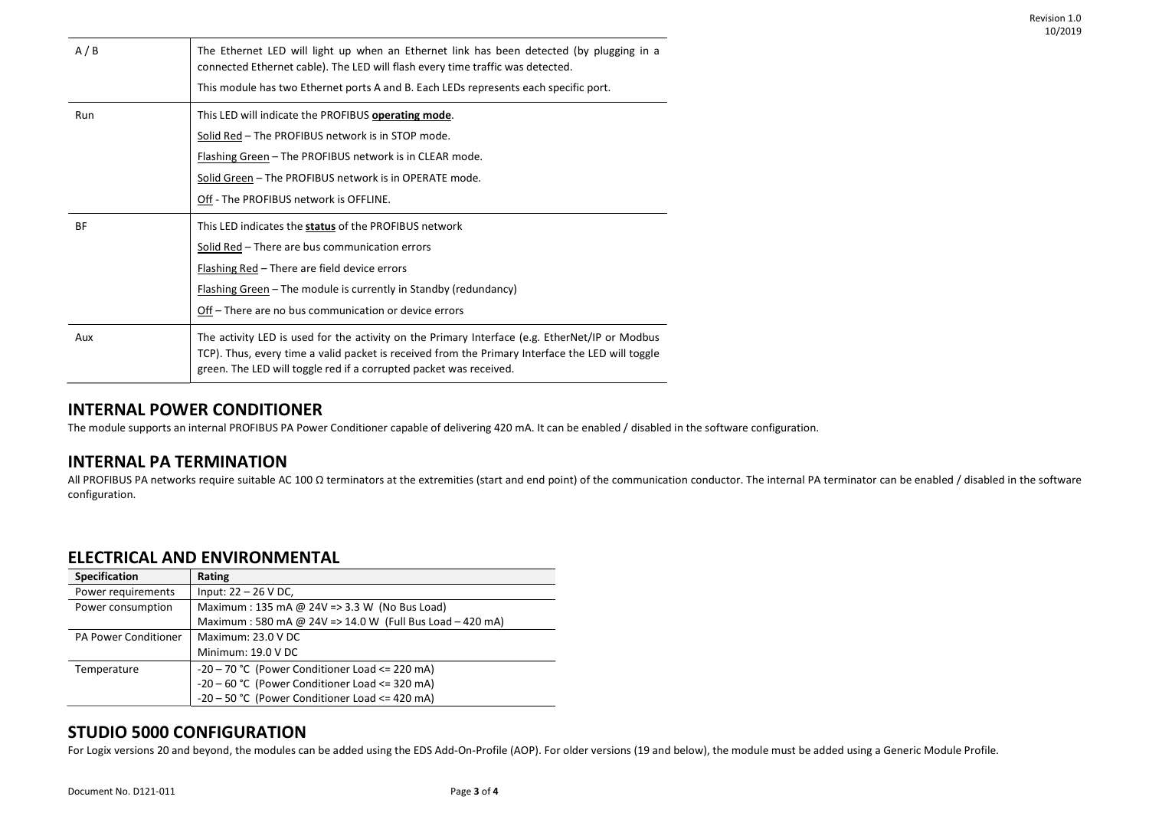| A/B       | The Ethernet LED will light up when an Ethernet link has been detected (by plugging in a<br>connected Ethernet cable). The LED will flash every time traffic was detected.                                                                                               |
|-----------|--------------------------------------------------------------------------------------------------------------------------------------------------------------------------------------------------------------------------------------------------------------------------|
|           | This module has two Ethernet ports A and B. Each LEDs represents each specific port.                                                                                                                                                                                     |
| Run       | This LED will indicate the PROFIBUS operating mode.                                                                                                                                                                                                                      |
|           | Solid Red - The PROFIBUS network is in STOP mode.                                                                                                                                                                                                                        |
|           | Flashing Green - The PROFIBUS network is in CLEAR mode.                                                                                                                                                                                                                  |
|           | Solid Green - The PROFIBUS network is in OPERATE mode.                                                                                                                                                                                                                   |
|           | Off - The PROFIBUS network is OFFLINE.                                                                                                                                                                                                                                   |
| <b>BF</b> | This LED indicates the status of the PROFIBUS network                                                                                                                                                                                                                    |
|           | Solid Red - There are bus communication errors                                                                                                                                                                                                                           |
|           | Flashing Red - There are field device errors                                                                                                                                                                                                                             |
|           | Flashing Green – The module is currently in Standby (redundancy)                                                                                                                                                                                                         |
|           | Off – There are no bus communication or device errors                                                                                                                                                                                                                    |
| Aux       | The activity LED is used for the activity on the Primary Interface (e.g. EtherNet/IP or Modbus<br>TCP). Thus, every time a valid packet is received from the Primary Interface the LED will toggle<br>green. The LED will toggle red if a corrupted packet was received. |

#### INTERNAL POWER CONDITIONER

The module supports an internal PROFIBUS PA Power Conditioner capable of delivering 420 mA. It can be enabled / disabled in the software configuration.

#### INTERNAL PA TERMINATION

All PROFIBUS PA networks require suitable AC 100 Ω terminators at the extremities (start and end point) of the communication conductor. The internal PA terminator can be enabled / disabled in the software configuration.

#### ELECTRICAL AND ENVIRONMENTAL

| <b>Specification</b>        | Rating                                                   |
|-----------------------------|----------------------------------------------------------|
| Power requirements          | Input: $22 - 26$ V DC,                                   |
| Power consumption           | Maximum: 135 mA @ 24V = > 3.3 W (No Bus Load)            |
|                             | Maximum: 580 mA @ 24V => 14.0 W (Full Bus Load - 420 mA) |
| <b>PA Power Conditioner</b> | Maximum: 23.0 V DC                                       |
|                             | Minimum: 19.0 V DC                                       |
| Temperature                 | $-20 - 70$ °C (Power Conditioner Load $\leq$ 220 mA)     |
|                             | $-20 - 60$ °C (Power Conditioner Load <= 320 mA)         |
|                             | -20 - 50 °C (Power Conditioner Load <= 420 mA)           |

#### STUDIO 5000 CONFIGURATION

For Logix versions 20 and beyond, the modules can be added using the EDS Add-On-Profile (AOP). For older versions (19 and below), the module must be added using a Generic Module Profile.